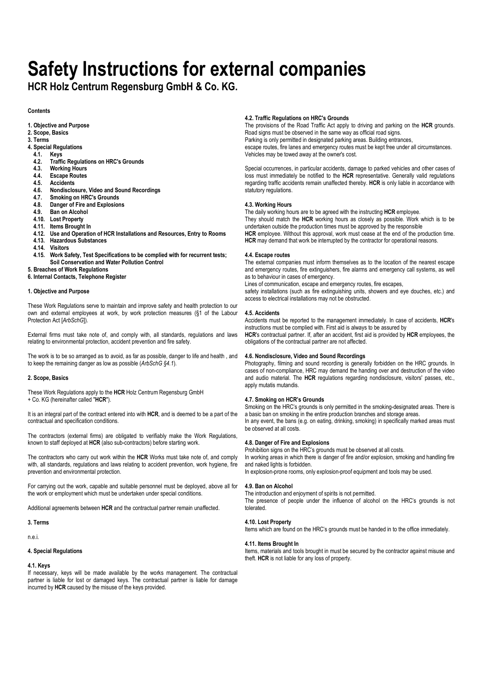# **Safety Instructions for external companies**

**HCR Holz Centrum Regensburg GmbH & Co. KG.** 

**Contents** 

- **1. Objective and Purpose**
- **2. Scope, Basics**
- **3. Terms**
- **4. Special Regulations**
- 
- **4.1. Keys 4.2. Traffic Regulations on HRC's Grounds**
- **4.3. Working Hours**
- **4.4. Escape Routes**
- 
- **4.5. Accidents 4.6. Nondisclosure, Video and Sound Recordings**
- 
- **4.7. Smoking on HRC's Grounds 4.8. Danger of Fire and Explosions**
- **4.9. Ban on Alcohol**
- **4.10. Lost Property**
- **4.11. Items Brought In**
- **4.12. Use and Operation of HCR Installations and Resources, Entry to Rooms**
- **4.13. Hazardous Substances**
- **4.14. Visitors**
- **4.15. Work Safety, Test Specifications to be complied with for recurrent tests; Soil Conservation and Water Pollution Control**
- **5. Breaches of Work Regulations**
- **6. Internal Contacts, Telephone Register**

# **1. Objective and Purpose**

These Work Regulations serve to maintain and improve safety and health protection to our own and external employees at work, by work protection measures (§1 of the Labour Protection Act [*ArbSchG*]).

External firms must take note of, and comply with, all standards, regulations and laws relating to environmental protection, accident prevention and fire safety.

The work is to be so arranged as to avoid, as far as possible, danger to life and health , and to keep the remaining danger as low as possible (*ArbSchG §4.1*).

# **2. Scope, Basics**

These Work Regulations apply to the **HCR** Holz Centrum Regensburg GmbH + Co. KG (hereinafter called "**HCR**").

It is an integral part of the contract entered into with **HCR**, and is deemed to be a part of the contractual and specification conditions.

The contractors (external firms) are obligated to verifiably make the Work Regulations, known to staff deployed at **HCR** (also sub-contractors) before starting work.

The contractors who carry out work within the **HCR** Works must take note of, and comply with, all standards, regulations and laws relating to accident prevention, work hygiene, fire prevention and environmental protection.

For carrying out the work, capable and suitable personnel must be deployed, above all for the work or employment which must be undertaken under special conditions.

Additional agreements between **HCR** and the contractual partner remain unaffected.

## **3. Terms**

n.e.i.

# **4. Special Regulations**

# **4.1. Keys**

If necessary, keys will be made available by the works management. The contractual partner is liable for lost or damaged keys. The contractual partner is liable for damage incurred by **HCR** caused by the misuse of the keys provided.

# **4.2. Traffic Regulations on HRC's Grounds**

The provisions of the Road Traffic Act apply to driving and parking on the **HCR** grounds. Road signs must be observed in the same way as official road signs. Parking is only permitted in designated parking areas. Building entrances, escape routes, fire lanes and emergency routes must be kept free under all circumstances. Vehicles may be towed away at the owner's cost.

Special occurrences, in particular accidents, damage to parked vehicles and other cases of loss must immediately be notified to the **HCR** representative. Generally valid regulations regarding traffic accidents remain unaffected thereby. **HCR** is only liable in accordance with statutory regulations.

# **4.3. Working Hours**

The daily working hours are to be agreed with the instructing **HCR** employee. They should match the **HCR** working hours as closely as possible. Work which is to be undertaken outside the production times must be approved by the responsible HCR employee. Without this approval, work must cease at the end of the production time. **HCR** may demand that work be interrupted by the contractor for operational reasons.

## **4.4. Escape routes**

The external companies must inform themselves as to the location of the nearest escape and emergency routes, fire extinguishers, fire alarms and emergency call systems, as well as to behaviour in cases of emergency.

Lines of communication, escape and emergency routes, fire escapes,

safety installations (such as fire extinguishing units, showers and eye douches, etc.) and access to electrical installations may not be obstructed.

# **4.5. Accidents**

Accidents must be reported to the management immediately. In case of accidents, **HCR**'s instructions must be complied with. First aid is always to be assured by

**HCR**'s contractual partner. If, after an accident, first aid is provided by **HCR** employees, the obligations of the contractual partner are not affected.

## **4.6. Nondisclosure, Video and Sound Recordings**

Photography, filming and sound recording is generally forbidden on the HRC grounds. In cases of non-compliance, HRC may demand the handing over and destruction of the video and audio material. The **HCR** regulations regarding nondisclosure, visitors' passes, etc., apply mutatis mutandis.

# **4.7. Smoking on HCR's Grounds**

Smoking on the HRC's grounds is only permitted in the smoking-designated areas. There is a basic ban on smoking in the entire production branches and storage areas. In any event, the bans (e.g. on eating, drinking, smoking) in specifically marked areas must be observed at all costs.

# **4.8. Danger of Fire and Explosions**

Prohibition signs on the HRC's grounds must be observed at all costs.

In working areas in which there is danger of fire and/or explosion, smoking and handling fire and naked lights is forbidden.

In explosion-prone rooms, only explosion-proof equipment and tools may be used.

## **4.9. Ban on Alcohol**

The introduction and enjoyment of spirits is not permitted.

The presence of people under the influence of alcohol on the HRC's grounds is not tolerated.

# **4.10. Lost Property**

Items which are found on the HRC's grounds must be handed in to the office immediately.

## **4.11. Items Brought In**

Items, materials and tools brought in must be secured by the contractor against misuse and theft. **HCR** is not liable for any loss of property.